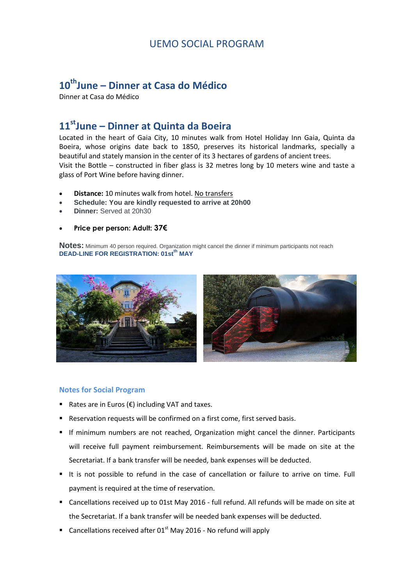#### UEMO SOCIAL PROGRAM

# **10thJune – Dinner at Casa do Médico**

Dinner at Casa do Médico

### **11stJune – Dinner at Quinta da Boeira**

Located in the heart of Gaia City, 10 minutes walk from Hotel Holiday Inn Gaia, Quinta da Boeira, whose origins date back to 1850, preserves its historical landmarks, specially a beautiful and stately mansion in the center of its 3 hectares of gardens of ancient trees. Visit the Bottle – constructed in fiber glass is 32 metres long by 10 meters wine and taste a glass of Port Wine before having dinner.

- **Distance:** 10 minutes walk from hotel. No transfers
- **Schedule: You are kindly requested to arrive at 20h00**
- **Dinner:** Served at 20h30
- **Price per person: Adult: 37€**

**Notes:** Minimum 40 person required. Organization might cancel the dinner if minimum participants not reach **DEAD-LINE FOR REGISTRATION: 01stth MAY**



#### **Notes for Social Program**

- Rates are in Euros (€) including VAT and taxes.
- Reservation requests will be confirmed on a first come, first served basis.
- If minimum numbers are not reached, Organization might cancel the dinner. Participants will receive full payment reimbursement. Reimbursements will be made on site at the Secretariat. If a bank transfer will be needed, bank expenses will be deducted.
- It is not possible to refund in the case of cancellation or failure to arrive on time. Full payment is required at the time of reservation.
- Cancellations received up to 01st May 2016 full refund. All refunds will be made on site at the Secretariat. If a bank transfer will be needed bank expenses will be deducted.
- Cancellations received after  $01<sup>st</sup>$  May 2016 No refund will apply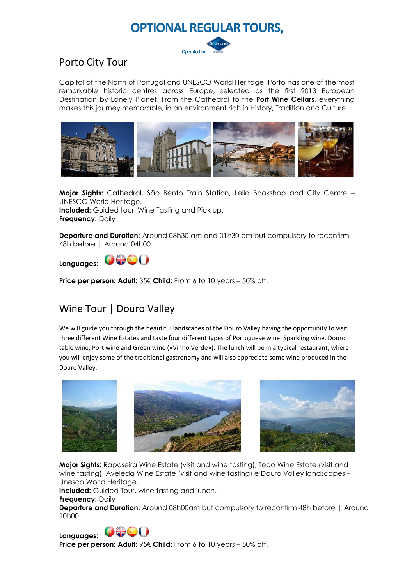

## Porto City Tour

Capital of the North of Portugal and UNESCO World Heritage, Porto has one of the most remarkable historic centres across Europe, selected as the first 2013 European Destination by Lonely Planet. From the Cathedral to the **Port Wine Cellars**, everything makes this journey memorable, in an environment rich in History, Tradition and Culture.



**Major Sights:** Cathedral, São Bento Train Station, Lello Bookshop and City Centre – UNESCO World Heritage. **Included:** Guided tour, Wine Tasting and Pick up.

**Frequency:** Daily

**Departure and Duration:** Around 08h30 am and 01h30 pm but compulsory to reconfirm 48h before | Around 04h00



**Price per person: Adult:** 35€ **Child:** From 6 to 10 years – 50% off.

# Wine Tour | Douro Valley

We will guide you through the beautiful landscapes of the Douro Valley having the opportunity to visit three different Wine Estates and taste four different types of Portuguese wine: Sparkling wine, Douro table wine, Port wine and Green wine («Vinho Verde»). The lunch will be in a typical restaurant, where you will enjoy some of the traditional gastronomy and will also appreciate some wine produced in the Douro Valley.







**Major Sights:** Raposeira Wine Estate (visit and wine tasting), Tedo Wine Estate (visit and wine tasting), Aveleda Wine Estate (visit and wine tasting) e Douro Valley landscapes – Unesco World Heritage.

**Included:** Guided Tour, wine tasting and lunch.

**Frequency:** Daily

**Departure and Duration:** Around 08h00am but compulsory to reconfirm 48h before I Around 10h00



**Price per person: Adult:** 95€ **Child:** From 6 to 10 years – 50% off.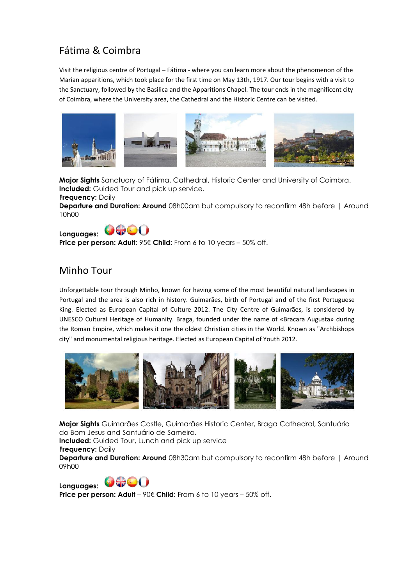# Fátima & Coimbra

Visit the religious centre of Portugal – Fátima - where you can learn more about the phenomenon of the Marian apparitions, which took place for the first time on May 13th, 1917. Our tour begins with a visit to the Sanctuary, followed by the Basilica and the Apparitions Chapel. The tour ends in the magnificent city of Coimbra, where the University area, the Cathedral and the Historic Centre can be visited.



**Major Sights** Sanctuary of Fátima, Cathedral, Historic Center and University of Coimbra. **Included:** Guided Tour and pick up service.

**Frequency:** Daily **Departure and Duration: Around** 08h00am but compulsory to reconfirm 48h before | Around 10h00



**Price per person: Adult:** 95€ **Child:** From 6 to 10 years – 50% off.

### Minho Tour

Unforgettable tour through Minho, known for having some of the most beautiful natural landscapes in Portugal and the area is also rich in history. Guimarães, birth of Portugal and of the first Portuguese King. Elected as European Capital of Culture 2012. The City Centre of Guimarães, is considered by UNESCO Cultural Heritage of Humanity. Braga, founded under the name of «Bracara Augusta» during the Roman Empire, which makes it one the oldest Christian cities in the World. Known as "Archbishops city" and monumental religious heritage. Elected as European Capital of Youth 2012.



**Major Sights** Guimarães Castle, Guimarães Historic Center, Braga Cathedral, Santuário do Bom Jesus and Santuário de Sameiro.

**Included:** Guided Tour, Lunch and pick up service

**Frequency:** Daily

**Departure and Duration: Around** 08h30am but compulsory to reconfirm 48h before | Around 09h00